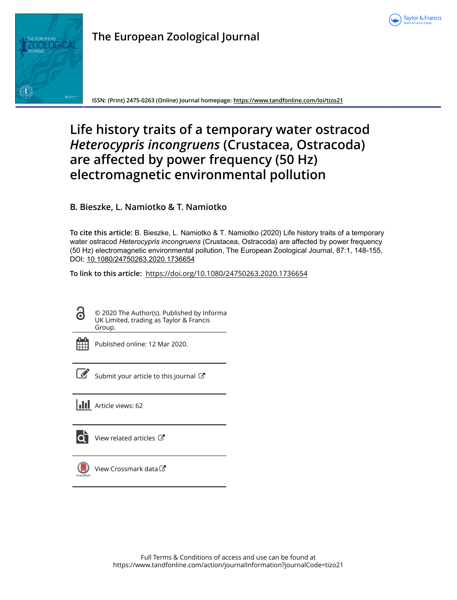



**ISSN: (Print) 2475-0263 (Online) Journal homepage:<https://www.tandfonline.com/loi/tizo21>**

# **Life history traits of a temporary water ostracod** *Heterocypris incongruens* **(Crustacea, Ostracoda) are affected by power frequency (50 Hz) electromagnetic environmental pollution**

**B. Bieszke, L. Namiotko & T. Namiotko**

**To cite this article:** B. Bieszke, L. Namiotko & T. Namiotko (2020) Life history traits of a temporary water ostracod *Heterocyprisincongruens* (Crustacea, Ostracoda) are affected by power frequency (50 Hz) electromagnetic environmental pollution, The European Zoological Journal, 87:1, 148-155, DOI: [10.1080/24750263.2020.1736654](https://www.tandfonline.com/action/showCitFormats?doi=10.1080/24750263.2020.1736654)

**To link to this article:** <https://doi.org/10.1080/24750263.2020.1736654>

© 2020 The Author(s). Published by Informa UK Limited, trading as Taylor & Francis Group.



6

Published online: 12 Mar 2020.

| ٦ |
|---|

[Submit your article to this journal](https://www.tandfonline.com/action/authorSubmission?journalCode=tizo21&show=instructions)  $\mathbb{Z}$ 

**Article views: 62** 



 $\overrightarrow{Q}$  [View related articles](https://www.tandfonline.com/doi/mlt/10.1080/24750263.2020.1736654)  $\overrightarrow{C}$ 



[View Crossmark data](http://crossmark.crossref.org/dialog/?doi=10.1080/24750263.2020.1736654&domain=pdf&date_stamp=2020-03-12)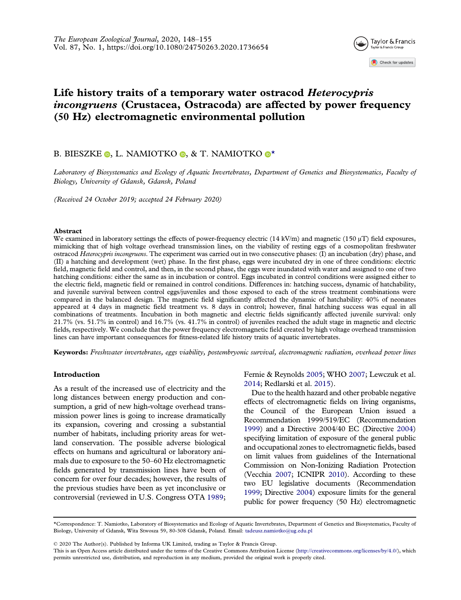

## Life history traits of a temporary water ostracod *Heterocypris* incongruens (Crustacea, Ostracoda) are affected by power frequency (50 Hz) electromagnetic environmental pollution

### B. BIESZKE  $\circ$ [,](http://orcid.org/0000-0002-0129-1511) L. NAMI[O](http://orcid.org/0000-0002-0269-2923)TKO  $\circ$ , & T. NAMIOTKO  $\circ$ [\\*](#page-1-0)

Laboratory of Biosystematics and Ecology of Aquatic Invertebrates, Department of Genetics and Biosystematics, Faculty of Biology, University of Gdansk, Gdansk, Poland

(Received 24 October 2019; accepted 24 February 2020)

#### Abstract

We examined in laboratory settings the effects of power-frequency electric  $(14 \text{ kV/m})$  and magnetic  $(150 \mu T)$  field exposures, mimicking that of high voltage overhead transmission lines, on the viability of resting eggs of a cosmopolitan freshwater ostracod *Heterocypris incongruens*. The experiment was carried out in two consecutive phases: (I) an incubation (dry) phase, and (II) a hatching and development (wet) phase. In the first phase, eggs were incubated dry in one of three conditions: electric field, magnetic field and control, and then, in the second phase, the eggs were inundated with water and assigned to one of two hatching conditions: either the same as in incubation or control. Eggs incubated in control conditions were assigned either to the electric field, magnetic field or remained in control conditions. Differences in: hatching success, dynamic of hatchability, and juvenile survival between control eggs/juveniles and those exposed to each of the stress treatment combinations were compared in the balanced design. The magnetic field significantly affected the dynamic of hatchability: 40% of neonates appeared at 4 days in magnetic field treatment vs. 8 days in control; however, final hatching success was equal in all combinations of treatments. Incubation in both magnetic and electric fields significantly affected juvenile survival: only 21.7% (vs. 51.7% in control) and 16.7% (vs. 41.7% in control) of juveniles reached the adult stage in magnetic and electric fields, respectively. We conclude that the power frequency electromagnetic field created by high voltage overhead transmission lines can have important consequences for fitness-related life history traits of aquatic invertebrates.

Keywords: Freshwater invertebrates, eggs viability, postembryonic survival, electromagnetic radiation, overhead power lines

#### Introduction

As a result of the increased use of electricity and the long distances between energy production and consumption, a grid of new high-voltage overhead transmission power lines is going to increase dramatically its expansion, covering and crossing a substantial number of habitats, including priority areas for wetland conservation. The possible adverse biological effects on humans and agricultural or laboratory animals due to exposure to the 50–60 Hz electromagnetic fields generated by transmission lines have been of concern for over four decades; however, the results of the previous studies have been as yet inconclusive or controversial (reviewed in U.S. Congress OTA [1989](#page-8-0); <span id="page-1-5"></span><span id="page-1-2"></span>Fernie & Reynolds [2005;](#page-7-0) WHO [2007;](#page-8-1) Lewczuk et al. [2014](#page-7-1); Redlarski et al. [2015](#page-8-2)).

<span id="page-1-4"></span><span id="page-1-3"></span><span id="page-1-1"></span>Due to the health hazard and other probable negative effects of electromagnetic fields on living organisms, the Council of the European Union issued a Recommendation 1999/519/EC (Recommendation [1999\)](#page-8-3) and a Directive 2004/40 EC (Directive [2004](#page-7-2)) specifying limitation of exposure of the general public and occupational zones to electromagnetic fields, based on limit values from guidelines of the International Commission on Non-Ionizing Radiation Protection (Vecchia [2007](#page-8-4); ICNIPR [2010](#page-7-3)). According to these two EU legislative documents (Recommendation [1999;](#page-8-3) Directive [2004](#page-7-2)) exposure limits for the general public for power frequency (50 Hz) electromagnetic

© 2020 The Author(s). Published by Informa UK Limited, trading as Taylor & Francis Group.

<span id="page-1-6"></span><span id="page-1-0"></span><sup>\*</sup>Correspondence: T. Namiotko, Laboratory of Biosystematics and Ecology of Aquatic Invertebrates, Department of Genetics and Biosystematics, Faculty of Biology, University of Gdansk, Wita Stwosza 59, 80-308 Gdansk, Poland. Email: tadeusz.namiotko@ug.edu.pl

This is an Open Access article distributed under the terms of the Creative Commons Attribution License (http://creativecommons.org/licenses/by/4.0/), which permits unrestricted use, distribution, and reproduction in any medium, provided the original work is properly cited.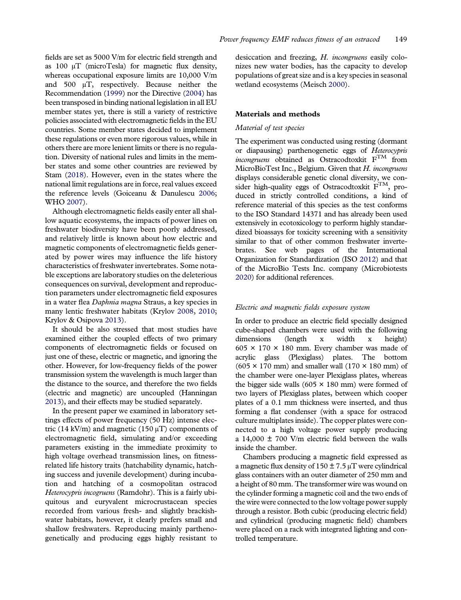fields are set as 5000 V/m for electric field strength and as 100 μT (microTesla) for magnetic flux density, whereas occupational exposure limits are 10,000 V/m and 500 μT, respectively. Because neither the Recommendation ([1999\)](#page-8-3) nor the Directive [\(2004\)](#page-7-2) has been transposed in binding national legislation in all EU member states yet, there is still a variety of restrictive policies associated with electromagnetic fields in the EU countries. Some member states decided to implement these regulations or even more rigorous values, while in others there are more lenient limits or there is no regulation. Diversity of national rules and limits in the member states and some other countries are reviewed by Stam [\(2018](#page-8-5)). However, even in the states where the national limit regulations are in force, real values exceed the reference levels (Goiceanu & Danulescu [2006](#page-7-4); WHO [2007](#page-8-1)).

<span id="page-2-7"></span><span id="page-2-0"></span>Although electromagnetic fields easily enter all shallow aquatic ecosystems, the impacts of power lines on freshwater biodiversity have been poorly addressed, and relatively little is known about how electric and magnetic components of electromagnetic fields generated by power wires may influence the life history characteristics of freshwater invertebrates. Some notable exceptions are laboratory studies on the deleterious consequences on survival, development and reproduction parameters under electromagnetic field exposures in a water flea Daphnia magna Straus, a key species in many lentic freshwater habitats (Krylov [2008,](#page-7-5) [2010](#page-7-6); Krylov & Osipova [2013](#page-7-7)).

<span id="page-2-4"></span><span id="page-2-3"></span>It should be also stressed that most studies have examined either the coupled effects of two primary components of electromagnetic fields or focused on just one of these, electric or magnetic, and ignoring the other. However, for low-frequency fields of the power transmission system the wavelength is much larger than the distance to the source, and therefore the two fields (electric and magnetic) are uncoupled (Hanningan [2013\)](#page-7-8), and their effects may be studied separately.

<span id="page-2-1"></span>In the present paper we examined in laboratory settings effects of power frequency (50 Hz) intense electric (14 kV/m) and magnetic (150  $\mu$ T) components of electromagnetic field, simulating and/or exceeding parameters existing in the immediate proximity to high voltage overhead transmission lines, on fitnessrelated life history traits (hatchability dynamic, hatching success and juvenile development) during incubation and hatching of a cosmopolitan ostracod Heterocypris incogruens (Ramdohr). This is a fairly ubiquitous and euryvalent microcrustacean species recorded from various fresh- and slightly brackishwater habitats, however, it clearly prefers small and shallow freshwaters. Reproducing mainly parthenogenetically and producing eggs highly resistant to <span id="page-2-5"></span>desiccation and freezing, H. incongruens easily colonizes new water bodies, has the capacity to develop populations of great size and is a key species in seasonal wetland ecosystems (Meisch [2000\)](#page-7-9).

#### Materials and methods

#### Material of test species

The experiment was conducted using resting (dormant or diapausing) parthenogenetic eggs of Heterocypris  $incongruens$  obtained as Ostracodtoxkit  $F^{TM}$  from MicroBioTest Inc., Belgium. Given that H. incongruens displays considerable genetic clonal diversity, we consider high-quality eggs of Ostracodtoxkit  $F^{TM}$ , produced in strictly controlled conditions, a kind of reference material of this species as the test conforms to the ISO Standard 14371 and has already been used extensively in ecotoxicology to perform highly standardized bioassays for toxicity screening with a sensitivity similar to that of other common freshwater invertebrates. See web pages of the International Organization for Standardization (ISO [2012\)](#page-7-10) and that of the MicroBio Tests Inc. company (Microbiotests [2020](#page-7-11)) for additional references.

#### <span id="page-2-6"></span><span id="page-2-2"></span>Electric and magnetic fields exposure system

In order to produce an electric field specially designed cube-shaped chambers were used with the following dimensions (length x width x height) 605  $\times$  170  $\times$  180 mm. Every chamber was made of acrylic glass (Plexiglass) plates. The bottom  $(605 \times 170 \text{ mm})$  and smaller wall  $(170 \times 180 \text{ mm})$  of the chamber were one-layer Plexiglass plates, whereas the bigger side walls (605  $\times$  180 mm) were formed of two layers of Plexiglass plates, between which cooper plates of a 0.1 mm thickness were inserted, and thus forming a flat condenser (with a space for ostracod culture multiplates inside). The copper plates were connected to a high voltage power supply producing a 14,000  $\pm$  700 V/m electric field between the walls inside the chamber.

Chambers producing a magnetic field expressed as a magnetic flux density of  $150 \pm 7.5 \,\mu\text{T}$  were cylindrical glass containers with an outer diameter of 250 mm and a height of 80 mm. The transformer wire was wound on the cylinder forming a magnetic coil and the two ends of the wire were connected to the low voltage power supply through a resistor. Both cubic (producing electric field) and cylindrical (producing magnetic field) chambers were placed on a rack with integrated lighting and controlled temperature.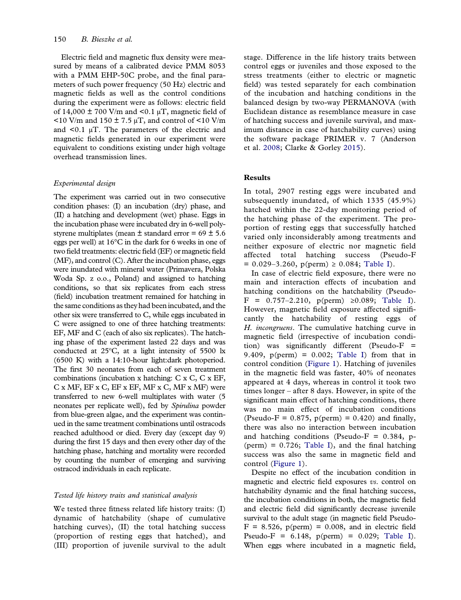Electric field and magnetic flux density were measured by means of a calibrated device PMM 8053 with a PMM EHP-50C probe, and the final parameters of such power frequency (50 Hz) electric and magnetic fields as well as the control conditions during the experiment were as follows: electric field of 14,000  $\pm$  700 V/m and <0.1  $\mu$ T, magnetic field of  $\leq$ 10 V/m and 150  $\pm$  7.5  $\mu$ T, and control of  $\leq$ 10 V/m and <0.1 μT. The parameters of the electric and magnetic fields generated in our experiment were equivalent to conditions existing under high voltage overhead transmission lines.

#### Experimental design

The experiment was carried out in two consecutive condition phases: (I) an incubation (dry) phase, and (II) a hatching and development (wet) phase. Eggs in the incubation phase were incubated dry in 6-well polystyrene multiplates (mean  $\pm$  standard error = 69  $\pm$  5.6 eggs per well) at 16°C in the dark for 6 weeks in one of two field treatments: electric field (EF) or magnetic field (MF), and control (C). After the incubation phase, eggs were inundated with mineral water (Primavera, Polska Woda Sp. z o.o., Poland) and assigned to hatching conditions, so that six replicates from each stress (field) incubation treatment remained for hatching in the same conditions as they had been incubated, and the other six were transferred to C, while eggs incubated in C were assigned to one of three hatching treatments: EF, MF and C (each of also six replicates). The hatching phase of the experiment lasted 22 days and was conducted at 25ºC, at a light intensity of 5500 lx (6500 K) with a 14:10-hour light:dark photoperiod. The first 30 neonates from each of seven treatment combinations (incubation x hatching: C x C, C x EF, C x MF, EF x C, EF x EF, MF x C, MF x MF) were transferred to new 6-well multiplates with water (5 neonates per replicate well), fed by Spirulina powder from blue-green algae, and the experiment was continued in the same treatment combinations until ostracods reached adulthood or died. Every day (except day 9) during the first 15 days and then every other day of the hatching phase, hatching and mortality were recorded by counting the number of emerging and surviving ostracod individuals in each replicate.

#### Tested life history traits and statistical analysis

We tested three fitness related life history traits: (I) dynamic of hatchability (shape of cumulative hatching curves), (II) the total hatching success (proportion of resting eggs that hatched), and (III) proportion of juvenile survival to the adult stage. Difference in the life history traits between control eggs or juveniles and those exposed to the stress treatments (either to electric or magnetic field) was tested separately for each combination of the incubation and hatching conditions in the balanced design by two-way PERMANOVA (with Euclidean distance as resemblance measure in case of hatching success and juvenile survival, and maximum distance in case of hatchability curves) using the software package PRIMER v. 7 (Anderson et al. [2008](#page-7-12); Clarke & Gorley [2015\)](#page-7-13).

#### <span id="page-3-0"></span>Results

In total, 2907 resting eggs were incubated and subsequently inundated, of which 1335 (45.9%) hatched within the 22-day monitoring period of the hatching phase of the experiment. The proportion of resting eggs that successfully hatched varied only inconsiderably among treatments and neither exposure of electric nor magnetic field affected total hatching success (Pseudo-F  $= 0.029 - 3.260$ , p(perm)  $\ge 0.084$ ; [Table I](#page-4-0)).

In case of electric field exposure, there were no main and interaction effects of incubation and hatching conditions on the hatchability (Pseudo- $F = 0.757 - 2.210$ , p(perm) ≥0.089; [Table I](#page-4-0)). However, magnetic field exposure affected significantly the hatchability of resting eggs of H. incongruens. The cumulative hatching curve in magnetic field (irrespective of incubation condition) was significantly different (Pseudo-F = 9.409,  $p(perm) = 0.002$ ; [Table I](#page-4-0)) from that in control condition ([Figure 1\)](#page-4-1). Hatching of juveniles in the magnetic field was faster, 40% of neonates appeared at 4 days, whereas in control it took two times longer – after 8 days. However, in spite of the significant main effect of hatching conditions, there was no main effect of incubation conditions (Pseudo-F =  $0.875$ , p(perm) =  $0.420$ ) and finally, there was also no interaction between incubation and hatching conditions (Pseudo-F =  $0.384$ , p- $(perm) = 0.726$ ; [Table I\)](#page-4-0), and the final hatching success was also the same in magnetic field and control [\(Figure 1](#page-4-1)).

Despite no effect of the incubation condition in magnetic and electric field exposures vs. control on hatchability dynamic and the final hatching success, the incubation conditions in both, the magnetic field and electric field did significantly decrease juvenile survival to the adult stage (in magnetic field Pseudo- $F = 8.526$ ,  $p(perm) = 0.008$ , and in electric field Pseudo-F =  $6.148$ ,  $p(perm) = 0.029$ ; [Table I](#page-4-0)). When eggs where incubated in a magnetic field,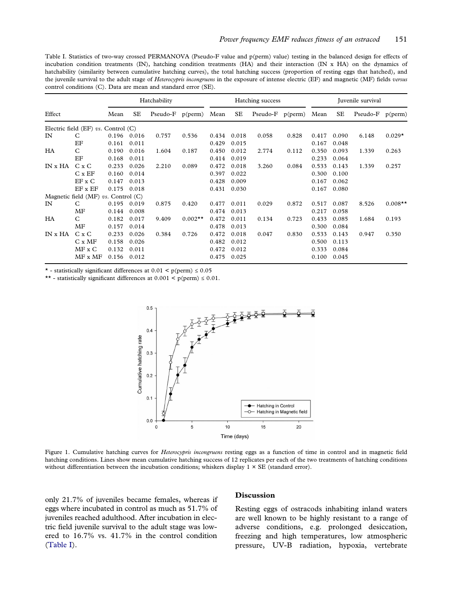<span id="page-4-0"></span>Table I. Statistics of two-way crossed PERMANOVA (Pseudo-F value and p(perm) value) testing in the balanced design for effects of incubation condition treatments (IN), hatching condition treatments (HA) and their interaction (IN x HA) on the dynamics of hatchability (similarity between cumulative hatching curves), the total hatching success (proportion of resting eggs that hatched), and the juvenile survival to the adult stage of Heterocypris incongruens in the exposure of intense electric (EF) and magnetic (MF) fields versus control conditions (C). Data are mean and standard error (SE).

|           |                                         | Hatchability |       |                     | Hatching success |       |       |                     | Juvenile survival |       |       |          |           |
|-----------|-----------------------------------------|--------------|-------|---------------------|------------------|-------|-------|---------------------|-------------------|-------|-------|----------|-----------|
| Effect    |                                         | Mean         | SE    | Pseudo- $F$ p(perm) |                  | Mean  | SE    | Pseudo- $F$ p(perm) |                   | Mean  | SE    | Pseudo-F | p(perm)   |
|           | Electric field (EF) vs. Control (C)     |              |       |                     |                  |       |       |                     |                   |       |       |          |           |
| IN        | C                                       | 0.196        | 0.016 | 0.757               | 0.536            | 0.434 | 0.018 | 0.058               | 0.828             | 0.417 | 0.090 | 6.148    | $0.029*$  |
|           | ΕF                                      | 0.161        | 0.011 |                     |                  | 0.429 | 0.015 |                     |                   | 0.167 | 0.048 |          |           |
| <b>HA</b> | C                                       | 0.190        | 0.016 | 1.604               | 0.187            | 0.450 | 0.012 | 2.774               | 0.112             | 0.350 | 0.093 | 1.339    | 0.263     |
|           | EF                                      | 0.168        | 0.011 |                     |                  | 0.414 | 0.019 |                     |                   | 0.233 | 0.064 |          |           |
| IN x HA   | C x C                                   | 0.233        | 0.026 | 2.210               | 0.089            | 0.472 | 0.018 | 3.260               | 0.084             | 0.533 | 0.143 | 1.339    | 0.257     |
|           | $C \times EF$                           | 0.160        | 0.014 |                     |                  | 0.397 | 0.022 |                     |                   | 0.300 | 0.100 |          |           |
|           | $EF \times C$                           | 0.147        | 0.013 |                     |                  | 0.428 | 0.009 |                     |                   | 0.167 | 0.062 |          |           |
|           | EF x EF                                 | 0.175        | 0.018 |                     |                  | 0.431 | 0.030 |                     |                   | 0.167 | 0.080 |          |           |
|           | Magnetic field $(MF)$ vs. Control $(C)$ |              |       |                     |                  |       |       |                     |                   |       |       |          |           |
| IN        | C                                       | 0.195        | 0.019 | 0.875               | 0.420            | 0.477 | 0.011 | 0.029               | 0.872             | 0.517 | 0.087 | 8.526    | $0.008**$ |
|           | MF                                      | 0.144        | 0.008 |                     |                  | 0.474 | 0.013 |                     |                   | 0.217 | 0.058 |          |           |
| <b>HA</b> | C                                       | 0.182        | 0.017 | 9.409               | $0.002**$        | 0.472 | 0.011 | 0.134               | 0.723             | 0.433 | 0.085 | 1.684    | 0.193     |
|           | MF                                      | 0.157        | 0.014 |                     |                  | 0.478 | 0.013 |                     |                   | 0.300 | 0.084 |          |           |
| IN x HA   | C x C                                   | 0.233        | 0.026 | 0.384               | 0.726            | 0.472 | 0.018 | 0.047               | 0.830             | 0.533 | 0.143 | 0.947    | 0.350     |
|           | $C \times MF$                           | 0.158        | 0.026 |                     |                  | 0.482 | 0.012 |                     |                   | 0.500 | 0.113 |          |           |
|           | $MF \times C$                           | 0.132        | 0.011 |                     |                  | 0.472 | 0.012 |                     |                   | 0.333 | 0.084 |          |           |
|           | $MF \times MF$                          | 0.156        | 0.012 |                     |                  | 0.475 | 0.025 |                     |                   | 0.100 | 0.045 |          |           |

\* - statistically significant differences at  $0.01 < p(perm) \le 0.05$ 

\*\* - statistically significant differences at  $0.001 \le p(\text{perm}) \le 0.01$ .



<span id="page-4-1"></span>Figure 1. Cumulative hatching curves for *Heterocypris incongruens* resting eggs as a function of time in control and in magnetic field hatching conditions. Lines show mean cumulative hatching success of 12 replicates per each of the two treatments of hatching conditions without differentiation between the incubation conditions; whiskers display  $1 \times SE$  (standard error).

only 21.7% of juveniles became females, whereas if eggs where incubated in control as much as 51.7% of juveniles reached adulthood. After incubation in electric field juvenile survival to the adult stage was lowered to 16.7% vs. 41.7% in the control condition [\(Table I](#page-4-0)).

#### Discussion

Resting eggs of ostracods inhabiting inland waters are well known to be highly resistant to a range of adverse conditions, e.g. prolonged desiccation, freezing and high temperatures, low atmospheric pressure, UV-B radiation, hypoxia, vertebrate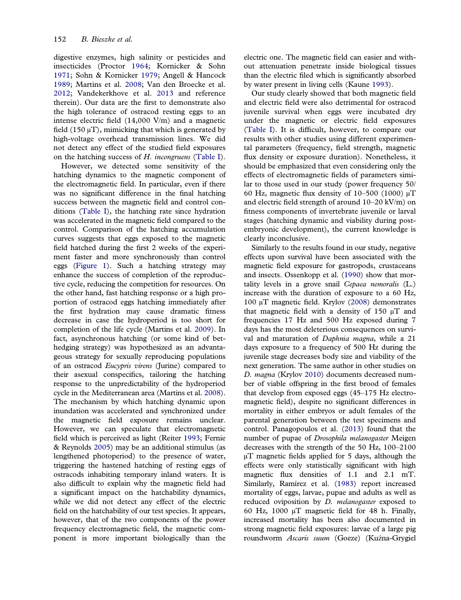<span id="page-5-11"></span><span id="page-5-10"></span><span id="page-5-2"></span><span id="page-5-0"></span>digestive enzymes, high salinity or pesticides and insecticides (Proctor [1964;](#page-7-14) Kornicker & Sohn [1971;](#page-7-15) Sohn & Kornicker [1979;](#page-8-6) Angell & Hancock [1989;](#page-7-16) Martins et al. [2008](#page-7-17); Van den Broecke et al. [2012;](#page-8-7) Vandekerkhove et al. [2013](#page-8-8) and reference therein). Our data are the first to demonstrate also the high tolerance of ostracod resting eggs to an intense electric field (14,000 V/m) and a magnetic field  $(150 \text{ uT})$ , mimicking that which is generated by high-voltage overhead transmission lines. We did not detect any effect of the studied field exposures on the hatching success of H. incongruens ([Table I](#page-4-0)).

<span id="page-5-5"></span><span id="page-5-4"></span>However, we detected some sensitivity of the hatching dynamics to the magnetic component of the electromagnetic field. In particular, even if there was no significant difference in the final hatching success between the magnetic field and control conditions [\(Table I\)](#page-4-0), the hatching rate since hydration was accelerated in the magnetic field compared to the control. Comparison of the hatching accumulation curves suggests that eggs exposed to the magnetic field hatched during the first 2 weeks of the experiment faster and more synchronously than control eggs [\(Figure 1\)](#page-4-1). Such a hatching strategy may enhance the success of completion of the reproductive cycle, reducing the competition for resources. On the other hand, fast hatching response or a high proportion of ostracod eggs hatching immediately after the first hydration may cause dramatic fitness decrease in case the hydroperiod is too short for completion of the life cycle (Martins et al. [2009\)](#page-7-18). In fact, asynchronous hatching (or some kind of bethedging strategy) was hypothesized as an advantageous strategy for sexually reproducing populations of an ostracod Eucypris virens (Jurine) compared to their asexual conspecifics, tailoring the hatching response to the unpredictability of the hydroperiod cycle in the Mediterranean area (Martins et al. [2008\)](#page-7-17). The mechanism by which hatching dynamic upon inundation was accelerated and synchronized under the magnetic field exposure remains unclear. However, we can speculate that electromagnetic field which is perceived as light (Reiter [1993](#page-8-9); Fernie & Reynolds [2005\)](#page-7-0) may be an additional stimulus (as lengthened photoperiod) to the presence of water, triggering the hastened hatching of resting eggs of ostracods inhabiting temporary inland waters. It is also difficult to explain why the magnetic field had a significant impact on the hatchability dynamics, while we did not detect any effect of the electric field on the hatchability of our test species. It appears, however, that of the two components of the power frequency electromagnetic field, the magnetic component is more important biologically than the

electric one. The magnetic field can easier and without attenuation penetrate inside biological tissues than the electric filed which is significantly absorbed by water present in living cells (Kaune [1993\)](#page-7-19).

<span id="page-5-1"></span>Our study clearly showed that both magnetic field and electric field were also detrimental for ostracod juvenile survival when eggs were incubated dry under the magnetic or electric field exposures [\(Table I](#page-4-0)). It is difficult, however, to compare our results with other studies using different experimental parameters (frequency, field strength, magnetic flux density or exposure duration). Nonetheless, it should be emphasized that even considering only the effects of electromagnetic fields of parameters similar to those used in our study (power frequency 50/ 60 Hz, magnetic flux density of 10–500 (1000) μT and electric field strength of around 10–20 kV/m) on fitness components of invertebrate juvenile or larval stages (hatching dynamic and viability during postembryonic development), the current knowledge is clearly inconclusive.

<span id="page-5-9"></span><span id="page-5-8"></span><span id="page-5-7"></span><span id="page-5-6"></span><span id="page-5-3"></span>Similarly to the results found in our study, negative effects upon survival have been associated with the magnetic field exposure for gastropods, crustaceans and insects. Ossenkopp et al. [\(1990\)](#page-7-20) show that mortality levels in a grove snail Cepaea nemoralis (L.) increase with the duration of exposure to a 60 Hz, 100 μT magnetic field. Krylov ([2008](#page-7-5)) demonstrates that magnetic field with a density of 150  $\mu$ T and frequencies 17 Hz and 500 Hz exposed during 7 days has the most deleterious consequences on survival and maturation of Daphnia magna, while a 21 days exposure to a frequency of 500 Hz during the juvenile stage decreases body size and viability of the next generation. The same author in other studies on D. magna (Krylov [2010](#page-7-6)) documents decreased number of viable offspring in the first brood of females that develop from exposed eggs (45–175 Hz electromagnetic field), despite no significant differences in mortality in either embryos or adult females of the parental generation between the test specimens and control. Panagopoulos et al. [\(2013](#page-7-21)) found that the number of pupae of Drosophila melanogaster Meigen decreases with the strength of the 50 Hz, 100–2100 μT magnetic fields applied for 5 days, although the effects were only statistically significant with high magnetic flux densities of 1.1 and 2.1 mT. Similarly, Ramírez et al. ([1983](#page-7-22)) report increased mortality of eggs, larvae, pupae and adults as well as reduced oviposition by *D. melanogaster* exposed to 60 Hz, 1000 μT magnetic field for 48 h. Finally, increased mortality has been also documented in strong magnetic field exposures: larvae of a large pig roundworm Ascaris suum (Goeze) (Kuźna-Grygiel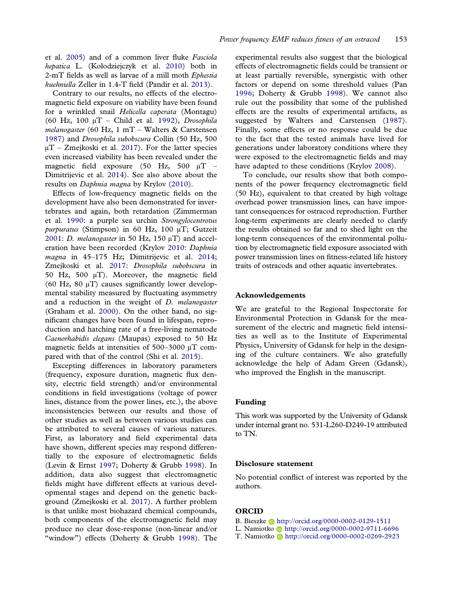<span id="page-6-5"></span>et al. [2005](#page-7-23)) and of a common liver fluke Fasciola hepatica L. (Kołodziejczyk et al. [2010\)](#page-7-24) both in 2-mT fields as well as larvae of a mill moth Ephestia kuehniella Zeller in 1.4-T field (Pandir et al. [2013](#page-7-25)).

<span id="page-6-8"></span><span id="page-6-0"></span>Contrary to our results, no effects of the electromagnetic field exposure on viability have been found for a wrinkled snail Helicella caperata (Montagu) (60 Hz, 100 μT – Child et al. [1992](#page-7-26)), Drosophila melanogaster (60 Hz, 1 mT – Walters & Carstensen [1987\)](#page-8-10) and Drosophila subobscura Collin (50 Hz, 500  $\mu$ T – Zmejkoski et al. [2017](#page-8-11)). For the latter species even increased viability has been revealed under the magnetic field exposure (50 Hz, 500 μT – Dimitrijevic et al. [2014\)](#page-7-27). See also above about the results on Daphnia magna by Krylov ([2010\)](#page-7-6).

<span id="page-6-11"></span><span id="page-6-4"></span><span id="page-6-1"></span>Effects of low-frequency magnetic fields on the development have also been demonstrated for invertebrates and again, both retardation (Zimmerman et al. [1990](#page-8-12): a purple sea urchin Strongylocentrotus purpuratus (Stimpson) in 60 Hz, 100 µT; Gutzeit [2001:](#page-7-28) *D. melanogaster* in 50 Hz, 150  $\mu$ T) and acceleration have been recorded (Krylov [2010:](#page-7-6) Daphnia magna in 45-175 Hz; Dimitrijevic et al. [2014](#page-7-27); Zmejkoski et al. [2017:](#page-8-11) Drosophila subobscura in 50 Hz, 500 μT). Moreover, the magnetic field (60 Hz, 80  $\mu$ T) causes significantly lower developmental stability measured by fluctuating asymmetry and a reduction in the weight of D. melanogaster (Graham et al. [2000\)](#page-7-29). On the other hand, no significant changes have been found in lifespan, reproduction and hatching rate of a free-living nematode Caenorhabidis elegans (Maupas) exposed to 50 Hz magnetic fields at intensities of 500–3000 μT compared with that of the control (Shi et al. [2015\)](#page-8-13).

<span id="page-6-12"></span><span id="page-6-9"></span><span id="page-6-6"></span><span id="page-6-3"></span>Excepting differences in laboratory parameters (frequency, exposure duration, magnetic flux density, electric field strength) and/or environmental conditions in field investigations (voltage of power lines, distance from the power lines, etc.), the above inconsistencies between our results and those of other studies as well as between various studies can be attributed to several causes of various natures. First, as laboratory and field experimental data have shown, different species may respond differentially to the exposure of electromagnetic fields (Levin & Ernst [1997](#page-7-30); Doherty & Grubb [1998\)](#page-7-31). In addition, data also suggest that electromagnetic fields might have different effects at various developmental stages and depend on the genetic background (Zmejkoski et al. [2017](#page-8-11)). A further problem is that unlike most biohazard chemical compounds, both components of the electromagnetic field may produce no clear dose-response (non-linear and/or "window") effects (Doherty & Grubb [1998\)](#page-7-31). The <span id="page-6-7"></span><span id="page-6-2"></span>experimental results also suggest that the biological effects of electromagnetic fields could be transient or at least partially reversible, synergistic with other factors or depend on some threshold values (Pan [1996](#page-7-32); Doherty & Grubb [1998](#page-7-31)). We cannot also rule out the possibility that some of the published effects are the results of experimental artifacts, as suggested by Walters and Carstensen ([1987\)](#page-8-10). Finally, some effects or no response could be due to the fact that the tested animals have lived for generations under laboratory conditions where they were exposed to the electromagnetic fields and may have adapted to these conditions (Krylov [2008](#page-7-5)).

<span id="page-6-10"></span>To conclude, our results show that both components of the power frequency electromagnetic field (50 Hz), equivalent to that created by high voltage overhead power transmission lines, can have important consequences for ostracod reproduction. Further long-term experiments are clearly needed to clarify the results obtained so far and to shed light on the long-term consequences of the environmental pollution by electromagnetic field exposure associated with power transmission lines on fitness-related life history traits of ostracods and other aquatic invertebrates.

#### Acknowledgements

We are grateful to the Regional Inspectorate for Environmental Protection in Gdansk for the measurement of the electric and magnetic field intensities as well as to the Institute of Experimental Physics, University of Gdansk for help in the designing of the culture containers. We also gratefully acknowledge the help of Adam Green (Gdansk), who improved the English in the manuscript.

#### Funding

This work was supported by the University of Gdansk under internal grant no. 531-L260-D249-19 attributed to TN.

#### Disclosure statement

No potential conflict of interest was reported by the authors.

#### ORCID

- B. Bieszke **http://orcid.org/0000-0002-0129-1511**
- L. Namiotko **http://orcid.org/0000-0002-9711-6696**
- T. Namiotko Dhttp://orcid.org/0000-0002-0269-2923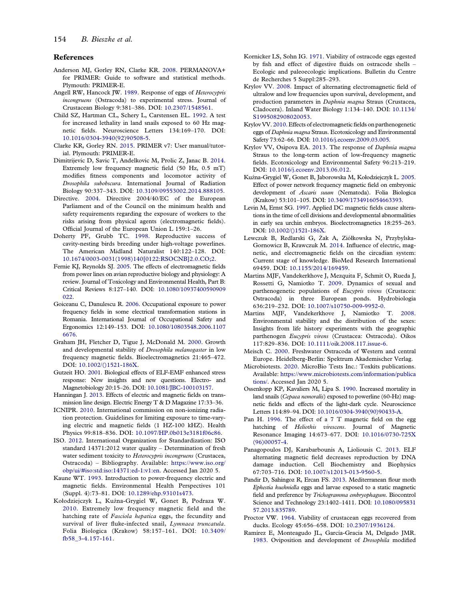#### References

- <span id="page-7-12"></span>Anderson MJ, Gorley RN, Clarke KR. [2008](#page-3-0). PERMANOVA+ for PRIMER: Guide to software and statistical methods. Plymouth: PRIMER-E.
- <span id="page-7-16"></span>Angell RW, Hancock JW. [1989.](#page-5-0) Response of eggs of Heterocypris incongruens (Ostracoda) to experimental stress. Journal of Crustacean Biology 9:381–386. DOI: [10.2307/1548561](https://doi.org/10.2307/1548561).
- <span id="page-7-26"></span>Child SZ, Hartman CL, Schery L, Carstensen EL. [1992](#page-6-0). A test for increased lethality in land snails exposed to 60 Hz magnetic fields. Neuroscience Letters 134:169–170. DOI: [10.1016/0304-3940\(92\)90508-5.](https://doi.org/10.1016/0304-3940(92)90508-5)
- <span id="page-7-13"></span>Clarke KR, Gorley RN. [2015](#page-3-0). PRIMER v7: User manual/tutorial. Plymouth: PRIMER-E.
- <span id="page-7-27"></span>Dimitrijevic D, Savic T, Andelkovic M, Prolic Z, Janac B. [2014.](#page-6-1) Extremely low frequency magnetic field (50 Hz, 0.5 mT) modifies fitness components and locomotor activity of Drosophila subobscura. International Journal of Radiation Biology 90:337–343. DOI: [10.3109/09553002.2014.888105.](https://doi.org/10.3109/09553002.2014.888105)
- <span id="page-7-2"></span>Directive. [2004.](#page-1-1) Directive 2004/40/EC of the European Parliament and of the Council on the minimum health and safety requirements regarding the exposure of workers to the risks arising from physical agents (electromagnetic fields). Official Journal of the European Union L 159:1–26.
- <span id="page-7-31"></span>Doherty PF, Grubb TC. [1998](#page-6-2). Reproductive success of cavity-nesting birds breeding under high-voltage powerlines. The American Midland Naturalist 140:122–128. DOI: [10.1674/0003-0031\(1998\)140\[0122:RSOCNB\]2.0.CO;2.](https://doi.org/10.1674/0003-0031(1998)140[0122:RSOCNB]2.0.CO;2)
- <span id="page-7-0"></span>Fernie KJ, Reynolds SJ. [2005](#page-1-2). The effects of electromagnetic fields from power lines on avian reproductive biology and physiology: A review. Journal of Toxicology and Environmental Health, Part B: Critical Reviews 8:127–140. DOI: [10.1080/10937400590909](https://doi.org/10.1080/10937400590909022) [022.](https://doi.org/10.1080/10937400590909022)
- <span id="page-7-4"></span>Goiceanu C, Danulescu R. [2006](#page-2-0). Occupational exposure to power frequency fields in some electrical transformation stations in Romania. International Journal of Occupational Safety and Ergonomics 12:149–153. DOI: [10.1080/10803548.2006.1107](https://doi.org/10.1080/10803548.2006.11076676) [6676.](https://doi.org/10.1080/10803548.2006.11076676)
- <span id="page-7-29"></span>Graham JH, Fletcher D, Tigue J, McDonald M. [2000.](#page-6-3) Growth and developmental stability of Drosophila melanogaster in low frequency magnetic fields. Bioelectromagnetics 21:465–472. DOI: [10.1002/\(\)1521-186X](https://doi.org/10.1002/()1521-186X).
- <span id="page-7-28"></span>Gutzeit HO. [2001](#page-6-4). Biological effects of ELF-EMF enhanced stress response: New insights and new questions. Electro- and Magnetobiology 20:15–26. DOI: [10.1081/JBC-100103157.](https://doi.org/10.1081/JBC-100103157)
- <span id="page-7-8"></span>Hanningan J. [2013](#page-2-1). Effects of electric and magnetic fields on transmission line design. Electric Energy T & D Magazine 17:33–36.
- <span id="page-7-3"></span>ICNIPR. [2010](#page-1-3). International commission on non-ionizing radiation protection. Guidelines for limiting exposure to time-varying electric and magnetic fields (1 HZ-100 kHZ). Health Physics 99:818–836. DOI: [10.1097/HP.0b013e3181f06c86.](https://doi.org/10.1097/HP.0b013e3181f06c86)
- <span id="page-7-10"></span>ISO. [2012](#page-2-2). International Organization for Standardization: ISO standard 14371:2012 water quality – Determination of fresh water sediment toxicity to Heterocypris incongruens (Crustacea, Ostracoda) – Bibliography. Available: [https://www.iso.org/](https://www.iso.org/obp/ui/#iso:std:iso:14371:ed-1:v1:en) [obp/ui/#iso:std:iso:14371:ed-1:v1:en.](https://www.iso.org/obp/ui/#iso:std:iso:14371:ed-1:v1:en) Accessed Jan 2020 5.
- <span id="page-7-19"></span>Kaune WT. [1993.](#page-5-1) Introduction to power-frequency electric and magnetic fields. Environmental Health Perspectives 101 (Suppl. 4):73–81. DOI: [10.1289/ehp.93101s473.](https://doi.org/10.1289/ehp.93101s473)
- <span id="page-7-24"></span>Kołodziejczyk L, Kuźna-Grygiel W, Gonet B, Podraza W. [2010](#page-6-5). Extremely low frequency magnetic field and the hatching rate of Fasciola hepatica eggs, the fecundity and survival of liver fluke-infected snail, Lymnaea truncatula. Folia Biologica (Krakow) 58:157–161. DOI: [10.3409/](https://doi.org/10.3409/fb58_3-4.157-161) [fb58\\_3-4.157-161.](https://doi.org/10.3409/fb58_3-4.157-161)
- <span id="page-7-15"></span>Kornicker LS, Sohn IG. [1971.](#page-5-2) Viability of ostracode eggs egested by fish and effect of digestive fluids on ostracode shells – Ecologic and paleoecologic implications. Bulletin du Centre de Recherches 5 Suppl:285–293.
- <span id="page-7-5"></span>Krylov VV. [2008](#page-2-3). Impact of alternating electromagnetic field of ultralow and low frequencies upon survival, development, and production parameters in Daphnia magna Straus (Crustacea, Cladocera). Inland Water Biology 1:134–140. DOI: [10.1134/](https://doi.org/10.1134/S1995082908020053) [S1995082908020053.](https://doi.org/10.1134/S1995082908020053)
- <span id="page-7-6"></span>Krylov VV. [2010](#page-2-3). Effects of electromagnetic fields on parthenogenetic eggs of Daphnia magna Straus. Ecotoxicology and Environmental Safety 73:62–66. DOI: [10.1016/j.ecoenv.2009.03.005](https://doi.org/10.1016/j.ecoenv.2009.03.005).
- <span id="page-7-7"></span>Krylov VV, Osipova EA. [2013.](#page-2-4) The response of Daphnia magna Straus to the long-term action of low-frequency magnetic fields. Ecotoxicology and Environmental Safety 96:213–219. DOI: [10.1016/j.ecoenv.2013.06.012.](https://doi.org/10.1016/j.ecoenv.2013.06.012)
- <span id="page-7-23"></span>Kuźna-Grygiel W, Gonet B, Jaborowska M, Kołodziejczyk L. [2005.](#page-5-3) Effect of power network frequency magnetic field on embryonic development of Ascaris suum (Nematoda). Folia Biologica (Krakow) 53:101–105. DOI: [10.3409/1734916054663393.](https://doi.org/10.3409/1734916054663393)
- <span id="page-7-30"></span>Levin M, Ernst SG. [1997](#page-6-6). Applied DC magnetic fields cause alterations in the time of cell divisions and developmental abnormalities in early sea urchin embryos. Bioelectromagnetics 18:255–263. DOI: [10.1002/\(\)1521-186X.](https://doi.org/10.1002/()1521-186X)
- <span id="page-7-1"></span>Lewczuk B, Redlarski G, Żak A, Ziółkowska N, Przybylska-Gornowicz B, Krawczuk M. [2014](#page-1-2). Influence of electric, magnetic, and electromagnetic fields on the circadian system: Current stage of knowledge. BioMed Research International 69459. DOI: [10.1155/2014/169459](https://doi.org/10.1155/2014/169459).
- <span id="page-7-18"></span>Martins MJF, Vandekerkhove J, Mezquita F, Schmit O, Rueda J, Rossetti G, Namiotko T. [2009.](#page-5-4) Dynamics of sexual and parthenogenetic populations of Eucypris virens (Crustacea: Ostracoda) in three European ponds. Hydrobiologia 636:219–232. DOI: [10.1007/s10750-009-9952-0](https://doi.org/10.1007/s10750-009-9952-0).
- <span id="page-7-17"></span>Martins MJF, Vandekerkhove J, Namiotko T. [2008.](#page-5-5) Environmental stability and the distribution of the sexes: Insights from life history experiments with the geographic parthenogen Eucypris virens (Crustacea: Ostracoda). Oikos 117:829–836. DOI: [10.1111/oik.2008.117.issue-6](https://doi.org/10.1111/oik.2008.117.issue-6).
- <span id="page-7-9"></span>Meisch C. [2000.](#page-2-5) Freshwater Ostracoda of Western and central Europe. Heidelberg-Berlin: Spektrum Akademischer Verlag.
- <span id="page-7-11"></span>Microbiotests. [2020](#page-2-6). MicroBio Tests Inc.: Toxkits publications. Available: [https://www.microbiotests.com/information/publica](https://www.microbiotests.com/information/publications/) [tions/.](https://www.microbiotests.com/information/publications/) Accessed Jan 2020 5.
- <span id="page-7-20"></span>Ossenkopp KP, Kavaliers M, Lipa S. [1990](#page-5-6). Increased mortality in land snails (Cepaea nemoralis) exposed to powerline (60-Hz) magnetic fields and effects of the light-dark cycle. Neuroscience Letters 114:89–94. DOI: [10.1016/0304-3940\(90\)90433-A](https://doi.org/10.1016/0304-3940(90)90433-A).
- <span id="page-7-32"></span>Pan H. [1996.](#page-6-7) The effect of a 7 T magnetic field on the egg hatching of Heliothis virescens. Journal of Magnetic Resonance Imaging 14:673–677. DOI: [10.1016/0730-725X](https://doi.org/10.1016/0730-725X(96)00057-4) [\(96\)00057-4.](https://doi.org/10.1016/0730-725X(96)00057-4)
- <span id="page-7-21"></span>Panagopoulos DJ, Karabarbounis A, Lioliousis C. [2013](#page-5-7). ELF alternating magnetic field decreases reproduction by DNA damage induction. Cell Biochemistry and Biophysics 67:703–716. DOI: [10.1007/s12013-013-9560-5.](https://doi.org/10.1007/s12013-013-9560-5)
- <span id="page-7-25"></span>Pandir D, Sahingoz R, Ercan FS. [2013](#page-6-8). Mediterranean flour moth Ephestia kuehniella eggs and larvae exposed to a static magnetic field and preference by Trichogramma embryophagum. Biocontrol Science and Technology 23:1402–1411. DOI: [10.1080/095831](https://doi.org/10.1080/09583157.2013.835789) [57.2013.835789.](https://doi.org/10.1080/09583157.2013.835789)
- <span id="page-7-14"></span>Proctor VW. [1964](#page-5-2). Viability of crustacean eggs recovered from ducks. Ecology 45:656–658. DOI: [10.2307/1936124.](https://doi.org/10.2307/1936124)
- <span id="page-7-22"></span>Ramírez E, Monteagudo JL, García-Gracia M, Delgado JMR. [1983](#page-5-8). Oviposition and development of Drosophila modified